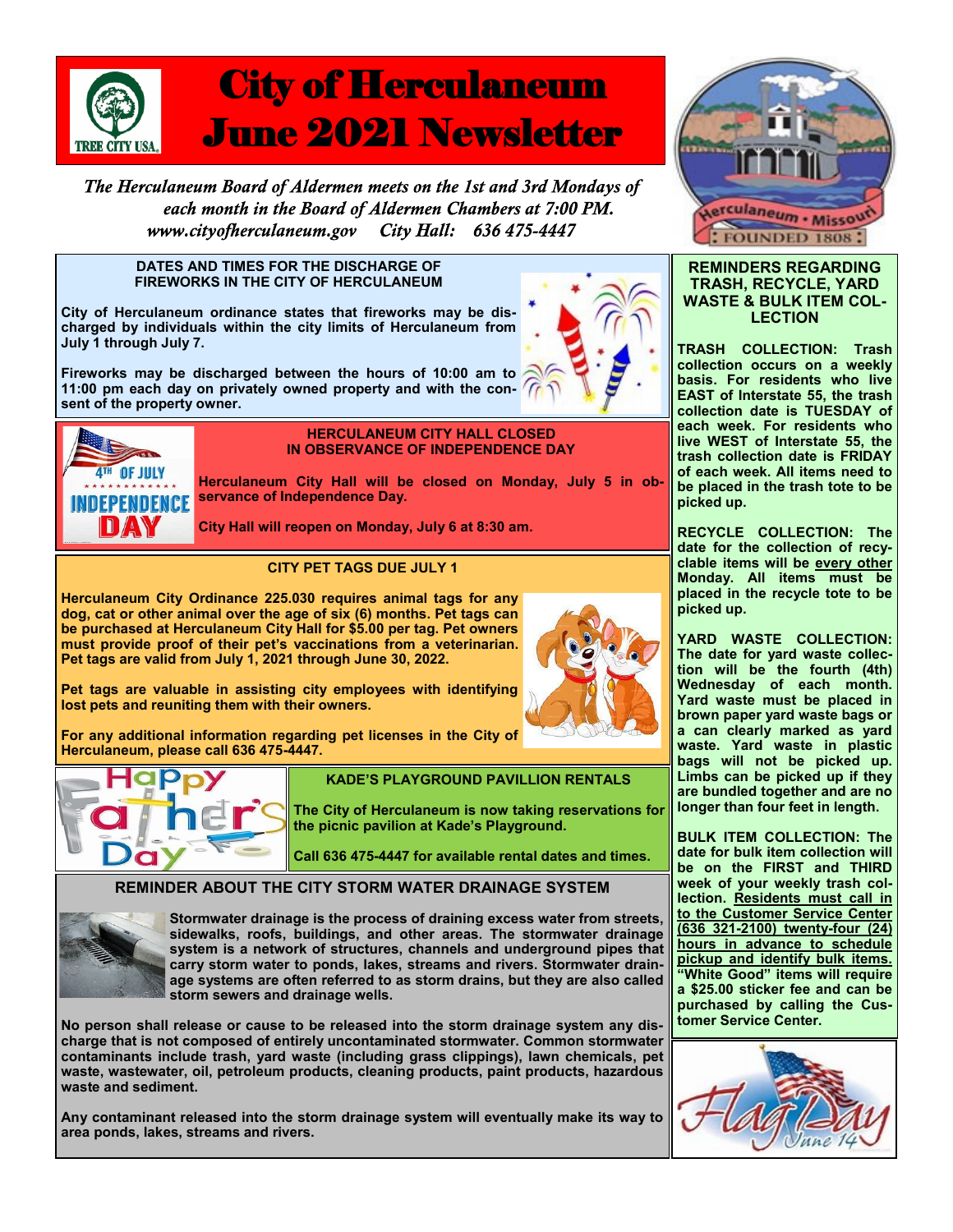

# **City of Herculaneum** June 2021 Newsletter

The Herculaneum Board of Aldermen meets on the 1st and 3rd Mondays of each month in the Board of Aldermen Chambers at 7:00 PM. City Hall: 636 475-4447 www.cityofherculaneum.gov

#### **DATES AND TIMES FOR THE DISCHARGE OF FIREWORKS IN THE CITY OF HERCULANEUM**

**City of Herculaneum ordinance states that fireworks may be discharged by individuals within the city limits of Herculaneum from July 1 through July 7.**

**Fireworks may be discharged between the hours of 10:00 am to 11:00 pm each day on privately owned property and with the consent of the property owner.**





#### **HERCULANEUM CITY HALL CLOSED IN OBSERVANCE OF INDEPENDENCE DAY**

**Herculaneum City Hall will be closed on Monday, July 5 in observance of Independence Day.** 

**City Hall will reopen on Monday, July 6 at 8:30 am.**

# **CITY PET TAGS DUE JULY 1**

**Herculaneum City Ordinance 225.030 requires animal tags for any dog, cat or other animal over the age of six (6) months. Pet tags can be purchased at Herculaneum City Hall for \$5.00 per tag. Pet owners must provide proof of their pet's vaccinations from a veterinarian. Pet tags are valid from July 1, 2021 through June 30, 2022.** 

**Pet tags are valuable in assisting city employees with identifying lost pets and reuniting them with their owners.**

**For any additional information regarding pet licenses in the City of Herculaneum, please call 636 475-4447.**



## **KADE'S PLAYGROUND PAVILLION RENTALS**

**The City of Herculaneum is now taking reservations for the picnic pavilion at Kade's Playground.**

**Call 636 475-4447 for available rental dates and times.**

# **REMINDER ABOUT THE CITY STORM WATER DRAINAGE SYSTEM**



**Stormwater drainage is the process of draining excess water from streets, sidewalks, roofs, buildings, and other areas. The stormwater drainage system is a network of structures, channels and underground pipes that carry storm water to ponds, lakes, streams and rivers. Stormwater drainage systems are often referred to as storm drains, but they are also called storm sewers and drainage wells.**

**No person shall release or cause to be released into the storm drainage system any discharge that is not composed of entirely uncontaminated stormwater. Common stormwater contaminants include trash, yard waste (including grass clippings), lawn chemicals, pet waste, wastewater, oil, petroleum products, cleaning products, paint products, hazardous waste and sediment.**

**Any contaminant released into the storm drainage system will eventually make its way to area ponds, lakes, streams and rivers.**



### **REMINDERS REGARDING TRASH, RECYCLE, YARD WASTE & BULK ITEM COL-LECTION**

**TRASH COLLECTION: Trash collection occurs on a weekly basis. For residents who live EAST of Interstate 55, the trash collection date is TUESDAY of each week. For residents who live WEST of Interstate 55, the trash collection date is FRIDAY of each week. All items need to be placed in the trash tote to be picked up.**

**RECYCLE COLLECTION: The date for the collection of recyclable items will be every other Monday. All items must be placed in the recycle tote to be picked up.**

**YARD WASTE COLLECTION: The date for yard waste collection will be the fourth (4th) Wednesday of each month. Yard waste must be placed in brown paper yard waste bags or a can clearly marked as yard waste. Yard waste in plastic bags will not be picked up. Limbs can be picked up if they are bundled together and are no longer than four feet in length.**

**BULK ITEM COLLECTION: The date for bulk item collection will be on the FIRST and THIRD week of your weekly trash collection. Residents must call in to the Customer Service Center (636 321-2100) twenty-four (24) hours in advance to schedule pickup and identify bulk items. "White Good" items will require a \$25.00 sticker fee and can be purchased by calling the Customer Service Center.**